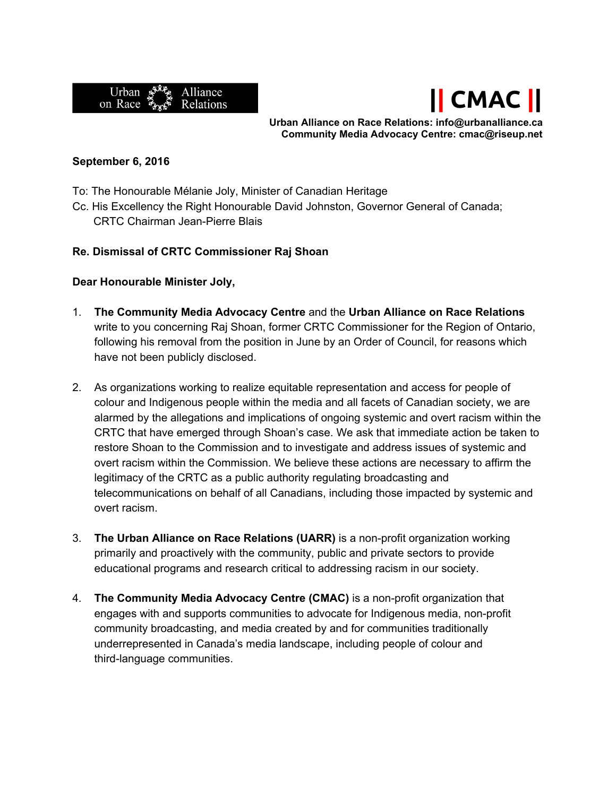



**Urban Alliance on Race Relations: info@urbanalliance.ca Community Media Advocacy Centre: cmac@riseup.net**

## **September 6, 2016**

- To: The Honourable Mélanie Joly, Minister of Canadian Heritage
- Cc. His Excellency the Right Honourable David Johnston, Governor General of Canada; CRTC Chairman Jean-Pierre Blais

## **Re. Dismissal of CRTC Commissioner Raj Shoan**

## **Dear Honourable Minister Joly,**

- 1. **The Community Media Advocacy Centre** and the **Urban Alliance on Race Relations** write to you concerning Raj Shoan, former CRTC Commissioner for the Region of Ontario, following his removal from the position in June by an Order of Council, for reasons which have not been publicly disclosed.
- 2. As organizations working to realize equitable representation and access for people of colour and Indigenous people within the media and all facets of Canadian society, we are alarmed by the allegations and implications of ongoing systemic and overt racism within the CRTC that have emerged through Shoan's case. We ask that immediate action be taken to restore Shoan to the Commission and to investigate and address issues of systemic and overt racism within the Commission. We believe these actions are necessary to affirm the legitimacy of the CRTC as a public authority regulating broadcasting and telecommunications on behalf of all Canadians, including those impacted by systemic and overt racism.
- 3. **The Urban Alliance on Race Relations (UARR)** is a nonprofit organization working primarily and proactively with the community, public and private sectors to provide educational programs and research critical to addressing racism in our society.
- 4. **The Community Media Advocacy Centre (CMAC)** is a non-profit organization that engages with and supports communities to advocate for Indigenous media, non-profit community broadcasting, and media created by and for communities traditionally underrepresented in Canada's media landscape, including people of colour and third-language communities.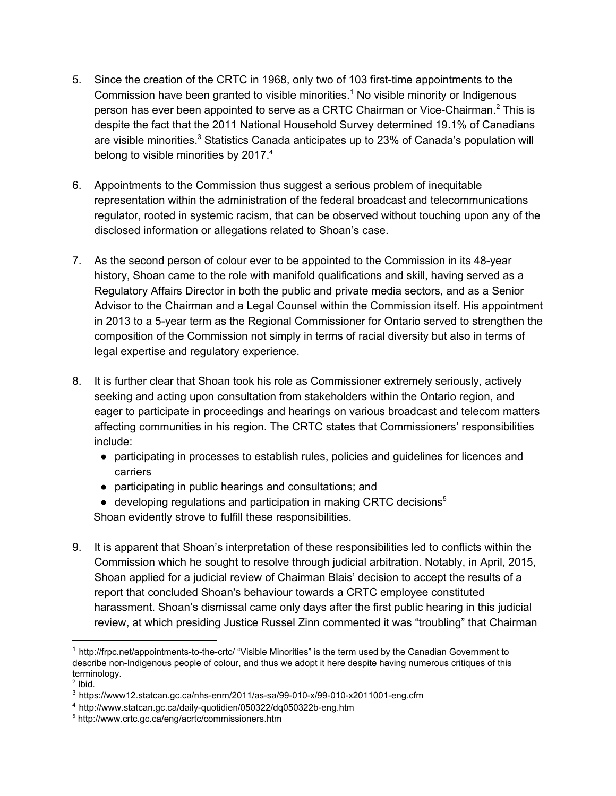- 5. Since the creation of the CRTC in 1968, only two of 103 first-time appointments to the Commission have been granted to visible minorities.<sup>1</sup> No visible minority or Indigenous person has ever been appointed to serve as a CRTC Chairman or Vice-Chairman.<sup>2</sup> This is despite the fact that the 2011 National Household Survey determined 19.1% of Canadians are visible minorities.<sup>3</sup> Statistics Canada anticipates up to 23% of Canada's population will belong to visible minorities by 2017.<sup>4</sup>
- 6. Appointments to the Commission thus suggest a serious problem of inequitable representation within the administration of the federal broadcast and telecommunications regulator, rooted in systemic racism, that can be observed without touching upon any of the disclosed information or allegations related to Shoan's case.
- 7. As the second person of colour ever to be appointed to the Commission in its 48-year history, Shoan came to the role with manifold qualifications and skill, having served as a Regulatory Affairs Director in both the public and private media sectors, and as a Senior Advisor to the Chairman and a Legal Counsel within the Commission itself. His appointment in 2013 to a 5-year term as the Regional Commissioner for Ontario served to strengthen the composition of the Commission not simply in terms of racial diversity but also in terms of legal expertise and regulatory experience.
- 8. It is further clear that Shoan took his role as Commissioner extremely seriously, actively seeking and acting upon consultation from stakeholders within the Ontario region, and eager to participate in proceedings and hearings on various broadcast and telecom matters affecting communities in his region. The CRTC states that Commissioners' responsibilities include:
	- participating in processes to establish rules, policies and guidelines for licences and carriers
	- participating in public hearings and consultations; and
	- $\bullet$  developing regulations and participation in making CRTC decisions<sup>5</sup> Shoan evidently strove to fulfill these responsibilities.
- 9. It is apparent that Shoan's interpretation of these responsibilities led to conflicts within the Commission which he sought to resolve through judicial arbitration. Notably, in April, 2015, Shoan applied for a judicial review of Chairman Blais' decision to accept the results of a report that concluded Shoan's behaviour towards a CRTC employee constituted harassment. Shoan's dismissal came only days after the first public hearing in this judicial review, at which presiding Justice Russel Zinn commented it was "troubling" that Chairman

 $1$  http://frpc.net/appointments-to-the-crtc/ "Visible Minorities" is the term used by the Canadian Government to describe non-Indigenous people of colour, and thus we adopt it here despite having numerous critiques of this terminology.

 $2$  lbid.

 $3$  https://www12.statcan.gc.ca/nhs-enm/2011/as-sa/99-010-x/99-010-x2011001-eng.cfm

<sup>&</sup>lt;sup>4</sup> http://www.statcan.gc.ca/daily-quotidien/050322/dq050322b-eng.htm

<sup>5</sup> http://www.crtc.gc.ca/eng/acrtc/commissioners.htm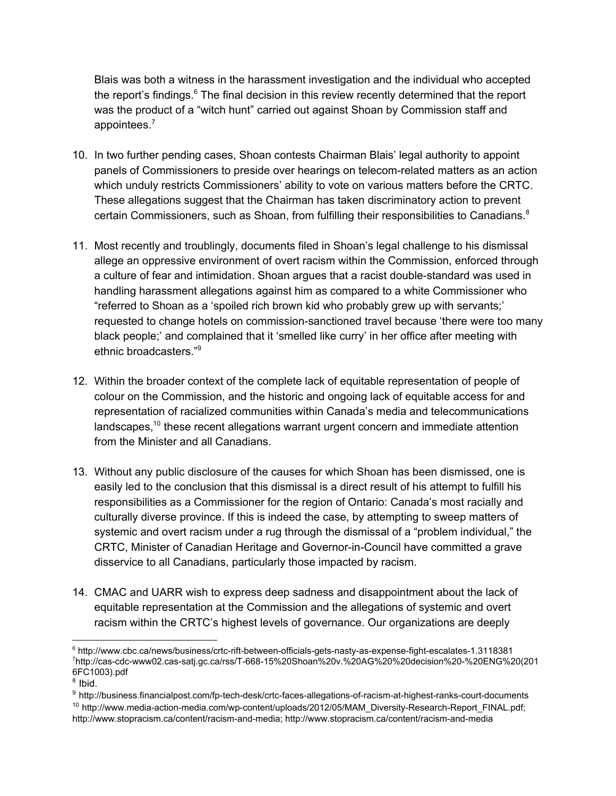Blais was both a witness in the harassment investigation and the individual who accepted the report's findings. $6$  The final decision in this review recently determined that the report was the product of a "witch hunt" carried out against Shoan by Commission staff and appointees.7

- 10. In two further pending cases, Shoan contests Chairman Blais' legal authority to appoint panels of Commissioners to preside over hearings on telecom-related matters as an action which unduly restricts Commissioners' ability to vote on various matters before the CRTC. These allegations suggest that the Chairman has taken discriminatory action to prevent certain Commissioners, such as Shoan, from fulfilling their responsibilities to Canadians.<sup>8</sup>
- 11. Most recently and troublingly, documents filed in Shoan's legal challenge to his dismissal allege an oppressive environment of overt racism within the Commission, enforced through a culture of fear and intimidation. Shoan argues that a racist double-standard was used in handling harassment allegations against him as compared to a white Commissioner who "referred to Shoan as a 'spoiled rich brown kid who probably grew up with servants;' requested to change hotels on commission-sanctioned travel because 'there were too many black people;' and complained that it 'smelled like curry' in her office after meeting with ethnic broadcasters."9
- 12. Within the broader context of the complete lack of equitable representation of people of colour on the Commission, and the historic and ongoing lack of equitable access for and representation of racialized communities within Canada's media and telecommunications landscapes,  $10$  these recent allegations warrant urgent concern and immediate attention from the Minister and all Canadians.
- 13. Without any public disclosure of the causes for which Shoan has been dismissed, one is easily led to the conclusion that this dismissal is a direct result of his attempt to fulfill his responsibilities as a Commissioner for the region of Ontario: Canada's most racially and culturally diverse province. If this is indeed the case, by attempting to sweep matters of systemic and overt racism under a rug through the dismissal of a "problem individual," the CRTC, Minister of Canadian Heritage and Governor-in-Council have committed a grave disservice to all Canadians, particularly those impacted by racism.
- 14. CMAC and UARR wish to express deep sadness and disappointment about the lack of equitable representation at the Commission and the allegations of systemic and overt racism within the CRTC's highest levels of governance. Our organizations are deeply

 $^6$  http://www.cbc.ca/news/business/crtc-rift-between-officials-gets-nasty-as-expense-fight-escalates-1.3118381 7 http://cascdcwww02.cassatj.gc.ca/rss/T66815%20Shoan%20v.%20AG%20%20decision%20%20ENG%20(201 6FC1003).pdf

 $8$  Ibid.

<sup>&</sup>lt;sup>9</sup> http://business.financialpost.com/fp-tech-desk/crtc-faces-allegations-of-racism-at-highest-ranks-court-documents <sup>10</sup> http://www.media-action-media.com/wp-content/uploads/2012/05/MAM\_Diversity-Research-Report\_FINAL.pdf;

http://www.stopracism.ca/content/racism-and-media; http://www.stopracism.ca/content/racism-and-media